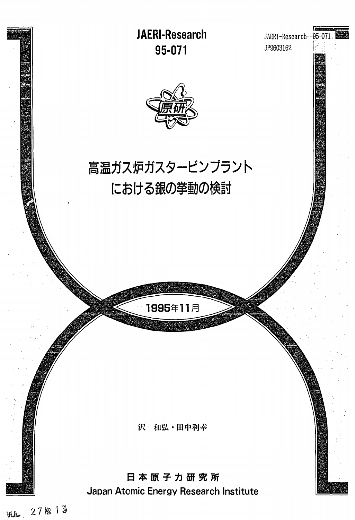

YUL.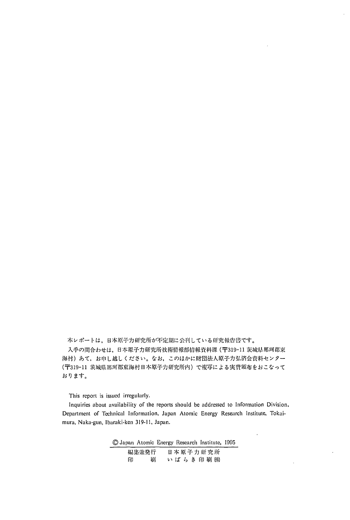本レポートは、日本原子力研究所が不定期に公刊している研究報告書です。

入手の間合わせは、日本原子力研究所技術情報部情報資料課 (〒319-11 茨城県那珂郡東 海村)あて、お申し越しください。なお、このほかに財団法人原子力弘済会資料センター (〒319-11 茨城県那珂郡東海村日本原子力研究所内)で複写による実費頒布をおこなって おります。

This report is issued irregularly.

Inquiries about availability of the reports should be addressed to Information Division, Department of Technical Information, Japan Atomic Energy Research Institute, Tokaimura, Naka-gun, Ibaraki-ken 319-11, Japan.

> © Japan Atomic Energy Research Institute, 1995 日本原子力研究所 編集兼発行 印 刷 いばらき印刷(株)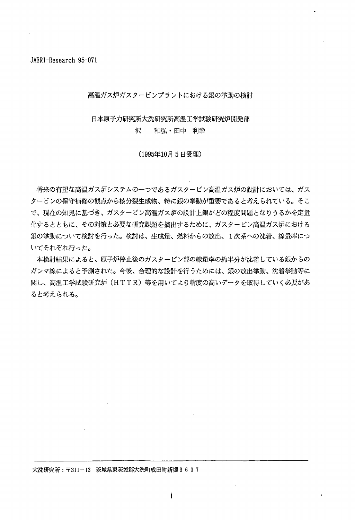## 高温ガス炉ガスタービンプラントにおける銀の挙動の検討

#### 日本原子力研究所大洗研究所高温工学試験研究炉開発部 沢 和弘·田中 利幸

(1995年10月5日受理)

将来の有望な高温ガス炉システムの一つであるガスタービン高温ガス炉の設計においては、ガス タービンの保守補修の観点から核分裂生成物、特に銀の挙動が重要であると考えられている。そこ で、現在の知見に基づき、ガスタービン高温ガス炉の設計上銀がどの程度問題となりうるかを定量 化するとともに、その対策と必要な研究課題を摘出するために、ガスタービン高温ガス炉における 銀の挙動について検討を行った。検討は、生成量、燃料からの放出、1次系への沈着、線量率につ いてそれぞれ行った。

本検討結果によると、原子炉停止後のガスタービン部の線量率の約半分が沈着している銀からの ガンマ線によると予測された。今後、合理的な設計を行うためには、銀の放出挙動、沈着挙動等に 関し、高温工学試験研究炉(HTTR)等を用いてより精度の高いデータを取得していく必要があ ると考えられる。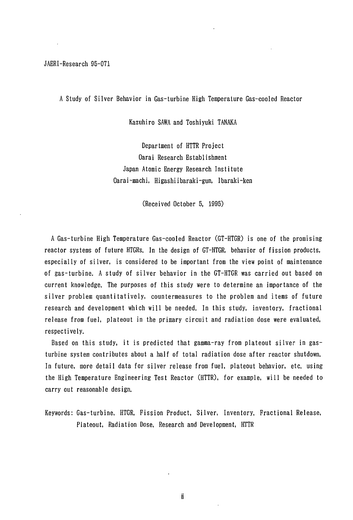### A Study of Silver Behavior in Gas-turbine High Temperature Gas-cooled Reactor

Kazuhiro SAWA and Toshiyuki TANAKA

Department of HTTR Project Oarai Research Establishment Japan Atomic Energy Research Institute Oarai-machi, Higashiibaraki-gun, Ibaraki-ken

(Received October 5, 1995)

A Gas-turbine High Temperature Gas-cooled Reactor (GT-HTGR) is one of the promising reactor systems of future HTGRs. In the design of GT-HTGR, behavior of fission products, especially of silver, is considered to be important from the view point of maintenance of gas-turbine. A study of silver behavior in the GT-HTGR was carried out based on current knowledge. The purposes of this study were to determine an importance of the silver problem quantitatively, countermeasures to the problem and items of future research and development which will be needed. In this study, inventory, fractional release from fuel, plateout in the primary circuit and radiation dose were evaluated, respectively.

Based on this study, it is predicted that gamma-ray from plateout silver in gasturbine system contributes about a half of total radiation dose after reactor shutdown. In future, more detail data for silver release from fuel, plateout behavior, etc. using the High Temperature Engineering Test Reactor (HTTR), for example, will be needed to carry out reasonable design.

Keywords: Gas-turbine, HTGR, Fission Product, Silver, Inventory, Fractional Release, Plateout, Radiation Dose, Research and Development, HTTR

Ïİ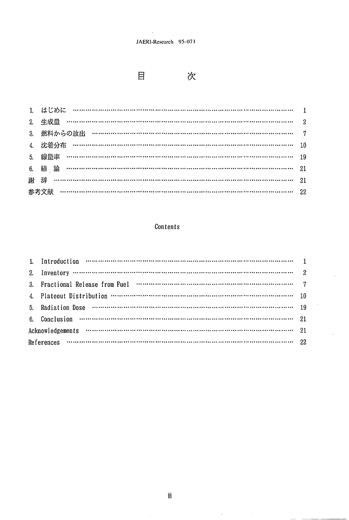$\overline{\phantom{a}}$ 



次

| 3. 燃料からの放出 ………………………………………………………………………………… 7 |  |
|----------------------------------------------|--|
| 4. 沈着分布 ……………………………………………………………………………………… 10 |  |
| 5. 線量率 ………………………………………………………………………………………… 19 |  |
|                                              |  |
|                                              |  |
|                                              |  |

# Contents

| 1. Introduction $\cdots$ $\cdots$ $\cdots$ $\cdots$ $\cdots$ $\cdots$ $\cdots$ $\cdots$ $\cdots$ $\cdots$ $\cdots$ $\cdots$ $\cdots$ $\cdots$ $\cdots$ $\cdots$ $\cdots$ $\cdots$ $\cdots$                                            |  |
|---------------------------------------------------------------------------------------------------------------------------------------------------------------------------------------------------------------------------------------|--|
| 2. Inventory $\cdots$ $\cdots$ $\cdots$ $\cdots$ $\cdots$ $\cdots$ $\cdots$ $\cdots$ $\cdots$ $\cdots$ $\cdots$ $\cdots$ $\cdots$ $\cdots$ $\cdots$ $\cdots$ $\cdots$ $\cdots$ $\cdots$                                               |  |
|                                                                                                                                                                                                                                       |  |
|                                                                                                                                                                                                                                       |  |
|                                                                                                                                                                                                                                       |  |
| 6. Conclusion $\cdots$ $\cdots$ $\cdots$ $\cdots$ $\cdots$ $\cdots$ $\cdots$ $\cdots$ $\cdots$ $\cdots$ $\cdots$ $\cdots$ $\cdots$ $\cdots$ $\cdots$ $\cdots$ $\cdots$ $\cdots$ $\cdots$ $\cdots$ $\cdots$ $\cdots$ $\cdots$ $\cdots$ |  |
|                                                                                                                                                                                                                                       |  |
| References $\cdots$ $\cdots$ $\cdots$ $\cdots$ $\cdots$ $\cdots$ $\cdots$ $\cdots$ $\cdots$ $\cdots$ $\cdots$ $\cdots$ $\cdots$ $\cdots$ $\cdots$ $\cdots$ $\cdots$ $\cdots$ $\cdots$ $\cdots$ $\cdots$ $\cdots$ $\cdots$             |  |

 $\hat{\boldsymbol{\beta}}$ 

 $\hat{\mathcal{L}}$ 

 $\hat{\boldsymbol{\theta}}$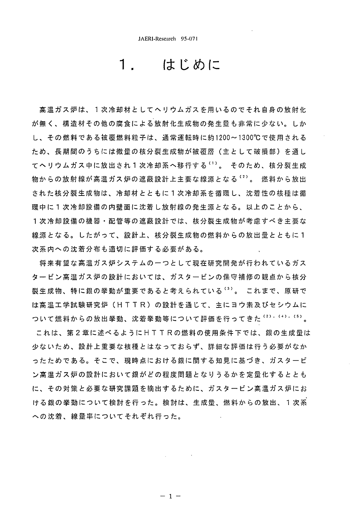# はじめに

高温ガス炉は、1次冷却材としてヘリウムガスを用いるのでそれ自身の放射化 が無く、構造材その他の腐食による放射化生成物の発生量も非常に少ない。しか し、その燃料である被覆燃料粒子は、通常運転時に約1200~1300℃で使用される ため、長期間のうちには微量の核分裂生成物が被覆層(主として破損部)を通し てヘリウムガス中に放出され1次冷却系へ移行するい)。 そのため、核分裂生成 物からの放射線が高温ガス炉の遮蔽設計上主要な線源となる <sup>(2)</sup>。 燃料から放出 された核分裂生成物は、冷却材とともに1次冷却系を循環し、沈着性の核種は循 環中に 1 次冷却設備の内壁面に沈着し放射線の発生源となる。以上のことから、 1 次 冷 却 設 備 の 機 器 ・ 配 管 等 の 遮 蔽 設 計 で は 、 核 分 裂 生 成 物 が 考 慮 す べ き 主 要 な 線源となる。したがって、設計上、核分裂生成物の燃料からの放出量とともに1 次系内への沈着分布も適切に評価する必要がある。

将来有望な高温ガス炉システムの一つとして現在研究開発が行われているガス タ ー ビ ン 高 温 ガ ス 炉 の 設 計 に お い て は 、 ガ ス タ ー ビ ン の 保 守 補 修 の 観 点 か ら 核 分 裂生成物、特に銀の挙動が重要であると考えられている (3)。 これまで、原研で は高温工学試験研究炉(HTTR)の設計を通じて、主にヨウ素及びセシウムに ついて燃料からの放出挙動、沈着挙動等について評価を行ってきた(2),(4),(5)。

これは、第2章に述べるようにHTTRの燃料の使用条件下では、銀の生成量は 少ないため、設計上重要な核種とはなっておらず、詳細な評価は行う必要がなか ったためである。そこで、現時点における銀に関する知見に基づき、ガスタービ ン高温ガス炉の設計において銀がどの程度問題となりうるかを定量化するととも に、その対策と必要な研究課題を摘出するために、ガスタービン高温ガス炉にお ける銀の挙動について検討を行った。検討は、生成量、燃料からの放出、1次系 への沈着、線量率についてそれぞれ行った。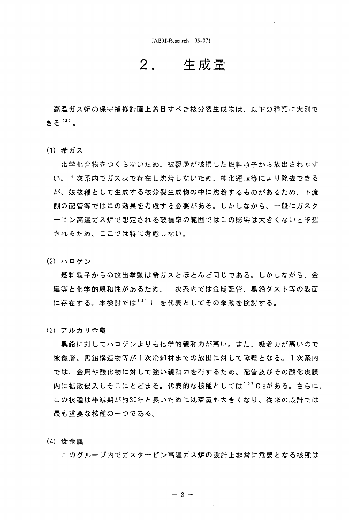### 生成量 2.

高温ガス炉の保守補修計画上着目すべき核分裂生成物は、以下の種類に大別で きる (3)。

(1) 希ガス

化学化合物をつくらないため、被覆層が破損した燃料粒子から放出されやす い。 1 次系内でガス状で存在し沈着しないため、純化運転等により除去できる が、娘核種として生成する核分裂生成物の中に沈着するものがあるため、下流 側の配管等ではこの効果を考慮する必要がある。しかしながら、一般にガスタ 一ビン高温ガス炉で想定される破損率の範囲ではこの影響は大きくないと予想 されるため、ここでは特に考慮しない。

(2) ハロゲン

燃料粒子からの放出挙動は希ガスとほとんど同じである。しかしながら、金 属等と化学的親和性があるため、1次系内では金属配管、黒鉛ダスト等の表面 に存在する。本検討では1311を代表としてその挙動を検討する。

(3) アルカリ金属

黒鉛に対してハロゲンよりも化学的親和力が高い。また、吸着力が高いので 被覆層、黒鉛構造物等が1次冷却材までの放出に対して障壁となる。1次系内 では、金属や酸化物に対して強い親和力を有するため、配管及びその酸化皮膜 内に拡散侵入しそこにとどまる。代表的な核種としては137Csがある。さらに、 この核種は半減期が約30年と長いために沈着量も大きくなり、従来の設計では 最も重要な核種の一つである。

(4) 貴金属

このグループ内でガスタービン高温ガス炉の設計上非常に重要となる核種は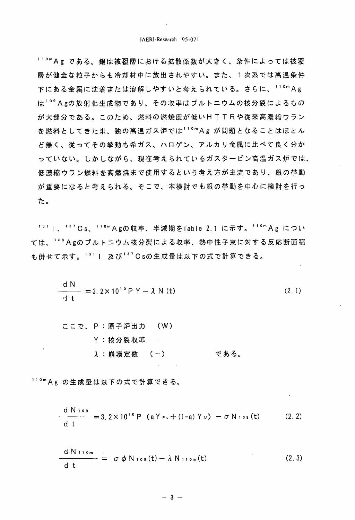11°m A g である。銀は被覆層における拡散係数が大きく、条件によっては被覆 層が健全な粒子からも冷却材中に放出されやすい。また、1次系では高温条件 下にある金属に沈着または溶解しやすいと考えられている。さらに、110mAg は<sup>109</sup> Agの放射化生成物であり、その収率はプルトニウムの核分裂によるもの が大部分である。このため、燃料の燃焼度が低いHTTRや従来高濃縮ウラン を燃料としてきた米、独の高温ガス炉では11°mAgが問題となることはほとん ど無く、従ってその挙動も希ガス、ハロゲン、アルカリ金属に比べて良く分か っていない。しかしながら、現在考えられているガスタービン高温ガス炉では、 低濃縮ウラン燃料を高燃焼まで使用するという考え方が主流であり、銀の挙動 が重要になると考えられる。そこで、本検討でも銀の挙動を中心に検討を行っ た。

<sup>131</sup> I、<sup>137</sup> Cs、<sup>110m</sup> Agの収率、半減期をTable 2.1 に示す。<sup>110m</sup> Ag につい ては、<sup>109</sup> Agのプルトニウム核分裂による収率、熱中性子束に対する反応断面積 も併せて示す。<sup>131</sup>| 及び<sup>137</sup>Csの生成量は以下の式で計算できる。

$$
\frac{dN}{dt} = 3.2 \times 10^{10} P Y - \lambda N (t)
$$
 (2.1)

110mAg の生成量は以下の式で計算できる。

$$
\frac{d \ N \log}{d t} = 3.2 \times 10^{10} \ P \ (a \ Y_{\nu} + (1-a) \ Y_{\nu}) - \sigma \ N \log(t) \qquad (2.2)
$$

$$
\frac{d N_{110m}}{dt} = \sigma \phi N_{109}(t) - \lambda N_{110m}(t)
$$
 (2.3)

$$
-3 -
$$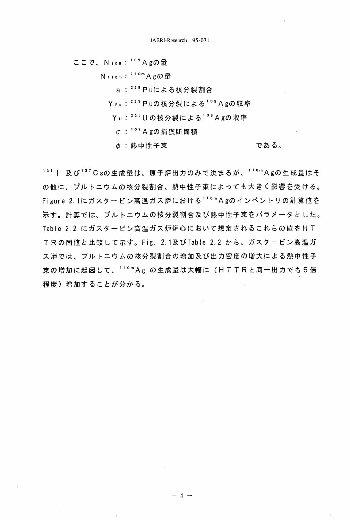ここで、Nios: 109 Agの最

N<sub>110m</sub>: 11<sup>0m</sup> Agの量 a: 239 Puによる核分裂割合 Ypu:<sup>239</sup> Puの核分裂による<sup>109</sup> Agの収率 Yu:<sup>235</sup>Uの核分裂による<sup>109</sup>Agの収率 σ: 109 Agの捕獲断面積 である。 φ:熱中性子束

<sup>131</sup> | 及び<sup>137</sup>Csの生成量は、原子炉出力のみで決まるが、<sup>110</sup>mAgの生成量はそ の他に、プルトニウムの核分裂割合、熱中性子束によっても大きく影響を受ける。 Figure 2.1にガスタービン高温ガス炉における<sup>110m</sup>Agのインベントリの計算値を 示す。計算では、プルトニウムの核分裂割合及び熱中性子束をパラメータとした。 Table 2.2 にガスタービン高温ガス炉炉心において想定されるこれらの値をHT TRの同値と比較して示す。Fig. 2.1及びTable 2.2 から、ガスタービン高温ガ ス炉では、プルトニウムの核分裂割合の増加及び出力密度の増大による熱中性子 束の増加に起因して、11ºmAg の生成量は大幅に(HTTRと同一出力でも5倍 程度)増加することが分かる。

 $-4 -$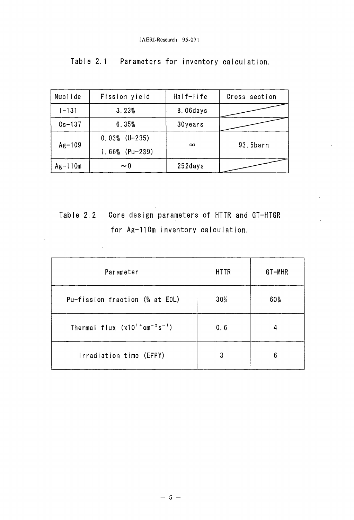| Nuclide    | Fission yield     | Half-life | Cross section |
|------------|-------------------|-----------|---------------|
| $1 - 131$  | 3.23%             | 8.06days  |               |
| $Cs - 137$ | 6.35%             | 30years   |               |
| $Ag-109$   | $0.03\%$ (U-235)  |           |               |
|            | $1.66\%$ (Pu-239) | $\infty$  | 93.5barn      |
| $Ag-110m$  | $\sim 0$          | 252days   |               |

**Table 2.2 Core design parameters of HTTR and GT-HTGR for Ag-110m inventory calculation.**

 $\hat{\mathcal{A}}$ 

l,

| Parameter                              | <b>HTTR</b>           | GT-MHR |
|----------------------------------------|-----------------------|--------|
| Pu-fission fraction (% at EOL)         | $30\%$                | $60\%$ |
| Thermal flux $(x10^{14}cm^{-2}s^{-1})$ | 0.6<br>$\blacksquare$ |        |
| Irradiation time (EFPY)                | 3                     | 6      |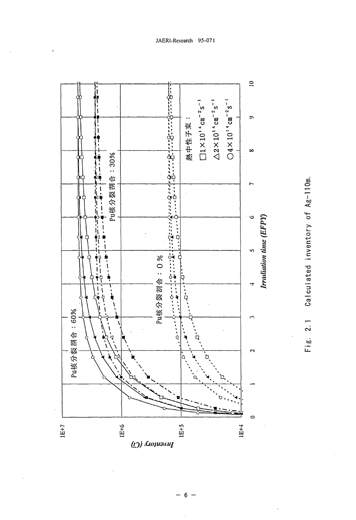

Calculated inventory of Ag-110m.  $2.1$  $F$  i g.

$$
-6-
$$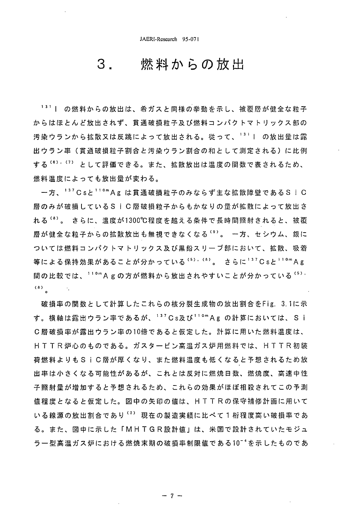3

# 燃料からの放出

131 | の燃料からの放出は、希ガスと同様の挙動を示し、被覆層が健全な粒子 からはほとんど放出されず、貫通破損粒子及び燃料コンパクトマトリックス部の 汚染ウランから拡散又は反跳によって放出される。従って、<sup>131</sup>1の放出量は露 出ウラン率(貫通破損粒子割合と汚染ウラン割合の和として測定される)に比例 する (6), (7) として評価できる。また、拡散放出は温度の関数で表されるため、 燃料温度によっても放出量が変わる。

ー方、<sup>137</sup>Csと<sup>110</sup>mAg は貫通破損粒子のみならず主な拡散障壁であるSiC 層のみが破損しているSiC層破損粒子からもかなりの量が拡散によって放出さ れる<sup>'8)</sup>。 さらに、温度が1300℃程度を越える条件で長時間照射されると、被覆 層が健全な粒子からの拡散放出も無視できなくなる (3)。 一方、セシウム、銀に ついては燃料コンパクトマトリックス及び黒鉛スリーブ部において、拡散、吸着 等による保持効果があることが分かっている<sup>(5),(8)</sup>。 さらに<sup>137</sup>Csと<sup>110m</sup>Ag 間の比較では、<sup>110</sup>mAgの方が燃料から放出されやすいことが分かっている<sup>(5).</sup>  $(8)$ 

破損率の関数として計算したこれらの核分裂生成物の放出割合をFig. 3.1に示 す。横軸は露出ウラン率であるが、137Cs及び110mAgの計算においては、Si C層破損率が露出ウラン率の10倍であると仮定した。計算に用いた燃料温度は、 H T T R 炉心のものである。ガスタービン高温ガス炉用燃料では、H T T R 初装 荷燃料よりもSiC層が厚くなり、また燃料温度も低くなると予想されるため放 出率は小さくなる可能性があるが、これとは反対に燃焼日数、燃焼度、高速中性 子照射量が増加すると予想されるため、これらの効果がほぼ相殺されてこの予測 値程度となると仮定した。図中の矢印の値は、HTTRの保守補修計画に用いて いる線源の放出割合であり<sup>(2)</sup> 現在の製造実績に比べて1桁程度高い破損率であ る。また、図中に示した「MHTGR設計値」は、米国で設計されていたモジュ ラー型高温ガス炉における燃焼末期の破損率制限値である10<sup>-4</sup>を示したものであ

- 7 -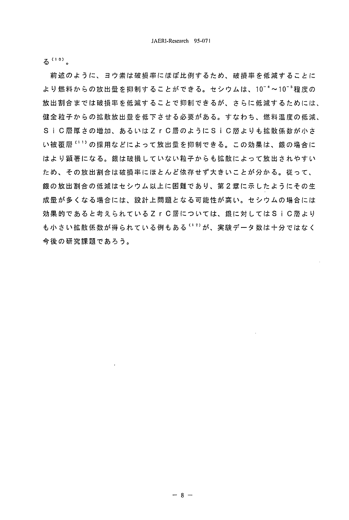$5(10)$ .

前述のように、ヨウ素は破損率にほぼ比例するため、破損率を低減することに より燃料からの放出量を抑制することができる。セシウムは、10<sup>-4</sup>~10<sup>-5</sup>程度の 放出割合までは破損率を低減することで抑制できるが、さらに低減するためには、 健全粒子からの拡散放出量を低下させる必要がある。すなわち、燃料温度の低減、 SiC層厚さの増加、あるいはZrC層のようにSiC層よりも拡散係数が小さ い被覆層 '' '' の採用などによって放出量を抑制できる。この効果は、銀の場合に はより顕著になる。銀は破損していない粒子からも拡散によって放出されやすい ため、その放出割合は破損率にほとんど依存せず大きいことが分かる。従って、 銀の放出割合の低減はセシウム以上に困難であり、第2章に示したようにその生 成量が多くなる場合には、設計上問題となる可能性が高い。セシウムの場合には 効果的であると考えられているZrC層については、銀に対してはSiC層より も小さい拡散係数が得られている例もある <sup>(12)</sup>が、実験データ数は十分ではなく 今後の研究課題であろう。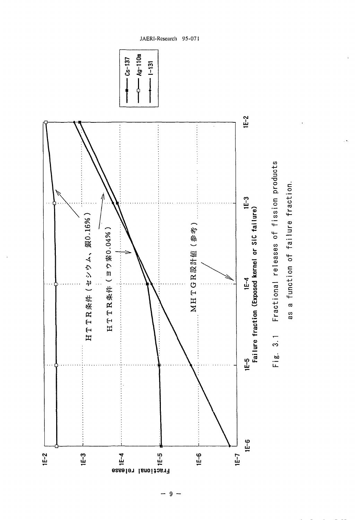

 $-9-$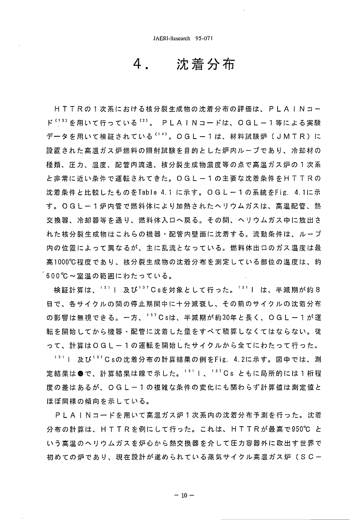沈着分布 4

HTTRの1次系における核分裂生成物の沈着分布の評価は、PLAINコー ド<sup>(13)</sup>を用いて行っている<sup>(2)</sup>。 PLAINコードは、OGLー1等による実験 データを用いて検証されている<sup>(14)</sup>。OGL-1は、材料試験炉(JMTR)に 設置された高温ガス炉燃料の照射試験を目的とした炉内ループであり、冷却材の 種類、圧力、温度、配管内流速、核分裂生成物濃度等の点で高温ガス炉の1次系 と 非 常 に 近 い 条 件 で 運 転 さ れ て き た 。 〇 G L ー 1 の 主 要 な 沈 着 条 件 を H T T R の 沈着条件と比較したものをTable 4.1 に示す。〇GL-1の系統をFig. 4.1に示 す。0GL-1炉内管で燃料体により加熱されたヘリウムガスは、高温配管、熱 交換器、冷却器等を通り、燃料体入口へ戻る。その間、ヘリウムガス中に放出さ れた核分裂生成物はこれらの機器・配管内壁面に沈着する。流動条件は、ループ 内の位置によって異なるが、主に乱流となっている。燃料体出口のガス温度は最 高1000℃程度であり、核分裂生成物の沈着分布を測定している部位の温度は、約 600℃~室温の範囲にわたっている。

検証計算は、<sup>131</sup> | 及び<sup>137</sup>Csを対象として行った。<sup>131</sup> | は、半減期が約8 日で、各サイクルの間の停止期間中に十分減衰し、その前のサイクルの沈着分布 の影響は無視できる。一方、<sup>137</sup>Csは、半減期が約30年と長く、OGL-1が運 転を開始してから機器・配管に沈着した量をすべて積算しなくてはならない。従 って、計算はOGL-1の運転を開始したサイクルから全てにわたって行った。

<sup>131</sup> | 及び<sup>137</sup>Csの沈着分布の計算結果の例をFig. 4.2に示す。図中では、測 定結果は●で、計算結果は線で示した。<sup>131</sup>1、<sup>137</sup>Cs ともに局所的には1桁程 度の差はあるが、 O G L ー 1 の複雑な条件の変化にも関わらず計算値は測定値と ほぼ同様の傾向を示している。

P L A I N コードを用いて高温ガス炉 1 次系内の沈着分布予測を行った。沈着 分布の計算は、HTTRを例にして行った。これは、HTTRが最高で950℃ と い う 高 温 の へ リ ウ ム ガ ス を 炉 心 か ら 熱 交 換 器 を 介 し て 圧 力 容 器 外 に 取 出 す 世 界 で 初めての炉であり、現在設計が進められている蒸気サイクル高温ガス炉(SC-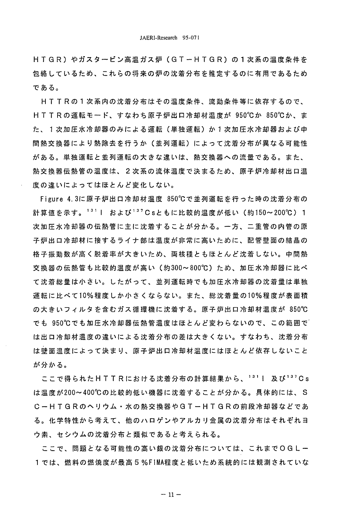H T G R ) や ガ ス タ ー ビ ン 高 温 ガ ス 炉 ( G T ー H T G R ) の 1 次 系 の 温 度 条 件 を 包絡しているため、これらの将来の炉の沈着分布を推定するのに有用であるため である。

H T T R の 1 次 系 内 の 沈 着 分 布 は そ の 温 度 条 件 、 流 動 条 件 等 に 依 存 す る の で 、 HTTRの運転モード、すなわち原子炉出口冷却材温度が 950℃か 850℃か、ま た、1次加圧水冷却器のみによる運転(単独運転)か1次加圧水冷却器および中 間熱交換器により熱除去を行うか(並列運転)によって沈着分布が異なる可能性 がある。単独運転と並列運転の大きな違いは、熱交換器への流量である。また、 熱 交 換 器 伝 熱 管 の 温 度 は 、 2 次 系 の 流 体 温 度 で 決 ま る た め 、 原 子 炉 冷 却 材 出 口 温 度の違いによってはほとんど変化しない。

Figure 4.3に原子炉出口冷却材温度 850℃で並列運転を行った時の沈着分布の 計算値を示す。<sup>131</sup> | および<sup>137</sup>Csともに比較的温度が低い (約150~200℃) 1 次加圧水冷却器の伝熱管に主に沈着することが分かる。一方、二重管の内管の原 子炉出口冷却材に接するライナ部は温度が非常に高いために、配管壁面の結晶の 格子振動数が高く脱着率が大きいため、両核種ともほとんど沈着しない。中間熱 交 換 器 の 伝 熱 管 も 比 較 的 温 度 が 高 い (約 300~ 800℃) た め 、 加 圧 水 冷 却 器 に 比 べ て沈着総量は小さい。したがって、並列運転時でも加圧水冷却器の沈着量は単独 運転に比べて10%程度しか小さくならない。また、総沈着量の10%程度が表面積 の大きいフィルタを含むガス循環機に沈着する。原子炉出口冷却材温度が 850℃ でも 950℃でも加圧水冷却器伝熱管温度はほとんど変わらないので、この範囲で は出口冷却材温度の違いによる沈着分布の差は大きくない。すなわち、沈着分布 は壁面温度によって決まり、原子炉出口冷却材温度にはほとんど依存しないこと が分かる。

ここで得られたHTTRにおける沈着分布の計算結果から、<sup>131</sup>Ⅰ 及び<sup>137</sup>Cs は温度が200~400℃の比較的低い機器に沈着することが分かる。具体的には、S C -- H T G R の へ リ ウ ム ・ 水 の 熱 交 換 器 や G T -- H T G R の 前 段 冷 却 器 な ど で あ る。 化 学 特 性 か ら 考 え て 、 他 の ハ ロ ゲ ン や ア ル カ リ 金 属 の 沈 着 分 布 は そ れ ぞ れ ヨ ウ素、セシウムの沈着分布と類似であると考えられる。

ここで、問題となる可能性の高い銀の沈着分布については、これまでOGLー 1では、燃料の燃焼度が最高5%FIMA程度と低いため系統的には観測されていな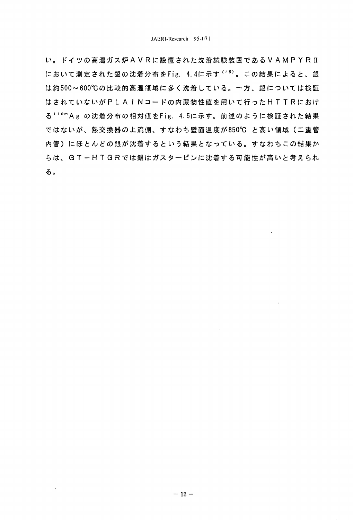い。ドイツの高温ガス炉AVRに設置された沈着試験装置であるVAMPYRI において測定された銀の沈着分布をFig. 4.4に示す<sup>(15)</sup>。この結果によると、銀 は約500~600℃の比較的高温領域に多く沈着している。一方、銀については検証 はされていないがPLAINコードの内蔵物性値を用いて行ったHTTRにおけ る<sup>110</sup>mAg の沈着分布の相対値をFig. 4.5に示す。前述のように検証された結果 ではないが、熱交換器の上流側、すなわち壁面温度が850℃ と高い領域(二重管 内管)にほとんどの銀が沈着するという結果となっている。すなわちこの結果か らは、GT-HTGRでは銀はガスタービンに沈着する可能性が高いと考えられ る。

 $\mathbf{v}$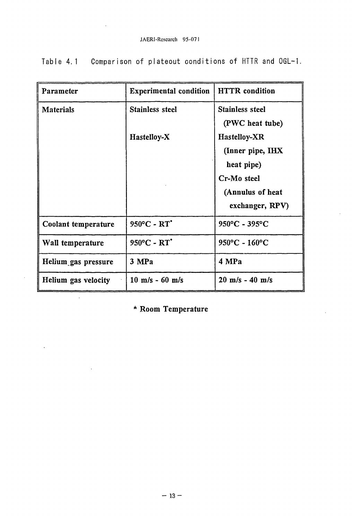| Parameter           | <b>Experimental condition</b>     | <b>HTTR</b> condition             |
|---------------------|-----------------------------------|-----------------------------------|
| <b>Materials</b>    | <b>Stainless steel</b>            | <b>Stainless steel</b>            |
|                     |                                   | (PWC heat tube)                   |
|                     | Hastelloy-X                       | Hastelloy-XR                      |
|                     |                                   | (Inner pipe, IHX                  |
|                     |                                   | heat pipe)                        |
|                     |                                   | Cr-Mo steel                       |
|                     |                                   | (Annulus of heat                  |
|                     |                                   | exchanger, RPV)                   |
| Coolant temperature | $950^{\circ}$ C - RT <sup>*</sup> | 950°C - 395°C                     |
| Wall temperature    | 950°C - RT*                       | 950°C - 160°C                     |
| Helium gas pressure | 3 MPa                             | 4 MPa                             |
| Helium gas velocity | $10 \text{ m/s} - 60 \text{ m/s}$ | $20 \text{ m/s} - 40 \text{ m/s}$ |

Table 4.1 Comparison of plateout conditions of HTTR and OGL-1.

\* Room Temperature

 $\ddot{\phantom{1}}$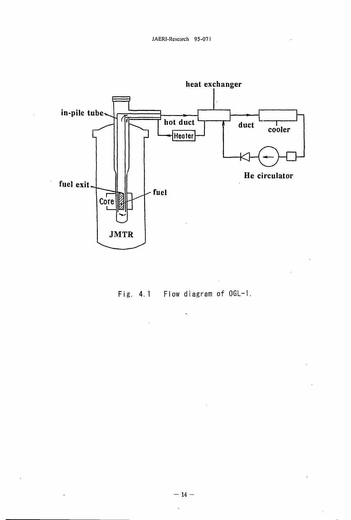

Fig. 4.1 Flow diagram of OGL-1.

 $\ddot{\phantom{0}}$ 

 $\ddot{\phantom{a}}$ 

 $\sim$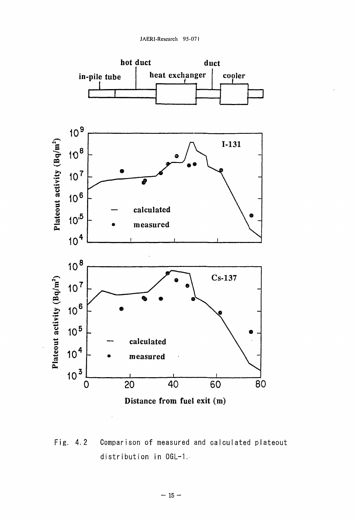

Fig. 4.2 Comparison of measured and calculated plateout distribution in OGL-1.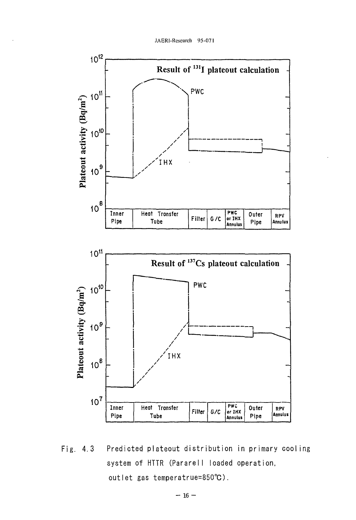JAERI-Research 95-071



Fig. 4.3 Predicted plateout distribution in primary cooling system of HTTR (Pararell loaded operation, outlet gas temperatrue=850°C).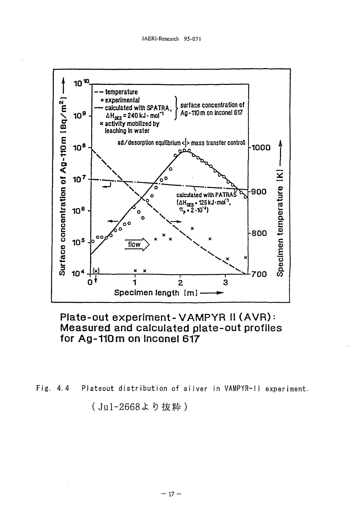

Plate-out experiment-VAMPYR II (AVR): Measured and calculated plate-out profiles for Ag-110m on Inconel 617

Fig.  $4.4$ Plateout distribution of silver in VAMPYR-11 experiment.

(Jul-2668より抜粋)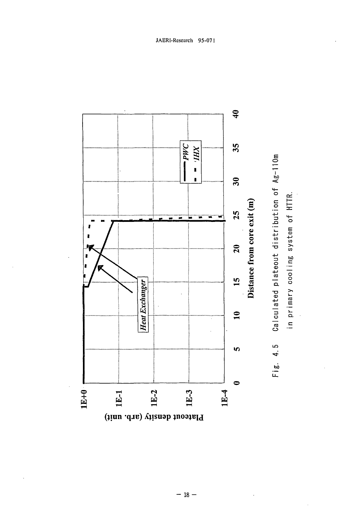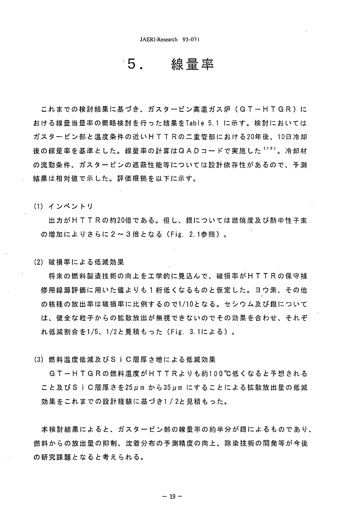### 線暈率 5.

これまでの検討結果に基づき、ガスタービン高温ガス炉(GTーHTGR)に おける線量当量率の概略検討を行った結果をTable 5.1 に示す。検討においては ガスタービン部と温度条件の近いHTTRの二重管部における20年後、10日冷却 後の線量率を基準とした。線量率の計算はQADコードで実施した<sup>(16)</sup>。冷却材 の流動条件、ガスタービンの遮蔽性能等については設計依存性があるので、予測 結果は相対値で示した。評価根拠を以下に示す。

(1) インベントリ

出力がHTTRの約20倍である。但し、銀については燃焼度及び熱中性子束 の増加によりさらに2~3倍となる (Fig. 2.1参照)。

(2) 破損率による低減効果

将来の燃料製造技術の向上を工学的に見込んで、破損率がHTTRの保守補 修用線源評価に用いた値よりも1桁低くなるものと仮定した。ヨウ素、その他 の核種の放出率は破損率に比例するので1/10となる。セシウム及び銀について は、健全な粒子からの拡散放出が無視できないのでその効果を合わせ、それぞ れ低減割合を1/5、1/2と見積もった (Fig. 3.1による)。

(3) 燃料温度低減及びSiC層厚さ増による低減効果

GT-HTGRの燃料温度がHTTRよりも約100℃低くなると予想される こと及びSiC層厚さを25μm から35μm にすることによる拡散放出量の低減 効果をこれまでの設計経験に基づき1/2と見積もった。

本検討結果によると、ガスタービン部の線量率の約半分が銀によるものであり、 燃料からの放出量の抑制、沈着分布の予測精度の向上、除染技術の開発等が今後 の研究課題となると考えられる。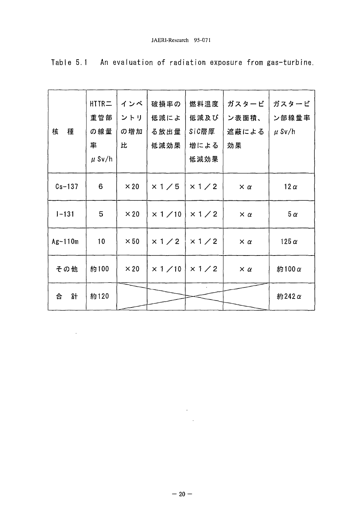|            | $HTIR =$        | インベ         | 破損率の                            | 燃料温度           | ガスタービ           | ガスタービ        |
|------------|-----------------|-------------|---------------------------------|----------------|-----------------|--------------|
|            | 重管部             | ントリ         | 低減によ                            | 低減及び           | ン表面積、           | ン部線量率        |
| 種<br>核     | の線量             | の増加         | る放出量                            | SiC層厚          | 遮蔽による           | $\mu$ Sv/h   |
|            | 率               | 比           | 低減効果                            | 増による           | 効果              |              |
|            | $\mu$ Sv/h      |             |                                 | 低減効果           |                 |              |
| $Cs - 137$ | 6               | $\times 20$ | x 1/5                           | x 1/2          | $\times \alpha$ | $12 \alpha$  |
| $1 - 131$  | 5               | $\times 20$ | $\times$ 1 / 10                 | $\times$ 1 / 2 | $\times \alpha$ | $5\alpha$    |
| $Ag-110m$  | 10 <sup>°</sup> | $\times 50$ | $\times$ 1 / 2   $\times$ 1 / 2 |                | $\times \alpha$ | 125 $\alpha$ |
| その他        | 約100            | $\times 20$ | $\times$ 1 / 10                 | x 1/2          | $\times \alpha$ | 約100 α       |
| 計<br>合     | 約120            |             |                                 |                |                 | 約242 $α$     |

 $\mathcal{L}^{\text{max}}_{\text{max}}$ 

Table 5.1 An evaluation of radiation exposure from gas-turbine.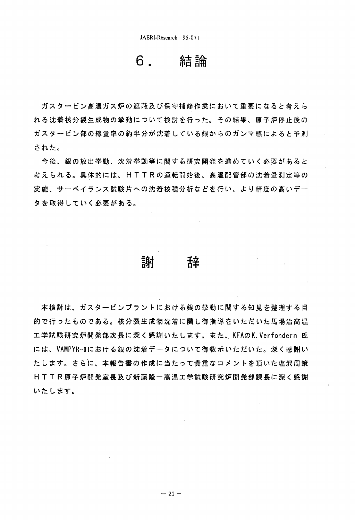### 結論 6.

ガスタービン高温ガス炉の遮蔽及び保守補修作業において重要になると考えら れる沈着核分裂生成物の挙動について検討を行った。その結果、原子炉停止後の ガスタービン部の線量率の約半分が沈着している銀からのガンマ線によると予測 された。

今後、銀の放出挙動、沈着挙動等に関する研究開発を進めていく必要があると 考えられる。具体的には、HTTRの運転開始後、高温配管部の沈着量測定等の 実施、サーベイランス試験片への沈着核種分析などを行い、より精度の高いデー タを取得していく必要がある。

### 謝 辞

本検討は、ガスタービンプラントにおける銀の挙動に関する知見を整理する目 的で行ったものである。核分裂生成物沈着に関し御指導をいただいた馬場治高温 工学試験研究炉開発部次長に深く感謝いたします。また、KFAのK.Verfondern 氏 には、VAMPYR-Iにおける銀の沈着データについて御教示いただいた。深く感謝い たします。さらに、本報告書の作成に当たって貴重なコメントを頂いた塩沢周策 H T T R 原 子 炉 開 発 室 長 及 び 新 藤 隆 一 高 温 工 学 試 験 研 究 炉 開 発 部 課 長 に 深 く 感 謝 いたします。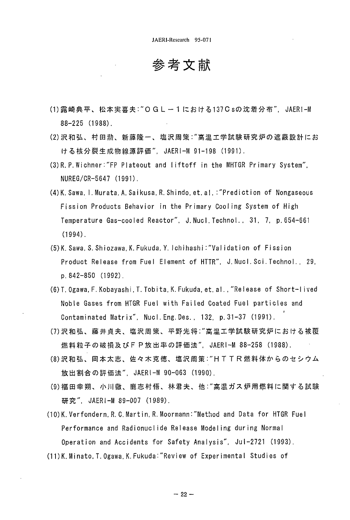参考文献

- (1) 露崎典平、松本実喜夫:"O G L ー 1 に お け る 137 C sの 沈 着 分 布 ". JAER ! M 88-225 (1988).
- (2) 沢 和 弘 、 村 田 勲 、 新 藤 隆 一 、 塩 沢 周 策 : " 高 温 工 学 試 験 研 究 炉 の 遮 蔽 設 計 に お ける核分裂生成物線源評価". JAERI-M 91-198 (1991).
- (3) R. P. Wichner:"FP Plateout and liftoff in the MHTGR Primary System", NUREG/CR-5647 (1991).
- (4)K. Sawa, I.Murata,A. Saikusa, R.Shindo, et. al. :"Prediction of Nongaseous Fission Products Behavior in the Primary Cooling System of High Temperature Gas-cooled Reactor", J. Nucl. Technol., 31, 7, p. 654-661 (1994).
- (5)K. Sawa, S. Shiozawa, K. Fukuda,Y.Ichihashi:"VaIidation of Fission Product Release from Fuel Element of HTTR", J. Nucl.Sci.Technol., 29, p. 842-850 (1992).
- (6)T. Ogawa, F. Kobayashi, T. Tobita,K.Fukuda,et.al. ,"Release of Short-I ived Noble Gases from HTGR Fuel with Failed Coated Fuel particles and Contaminated Matrix", Nucl. Eng. Des. , 132, p.31-37 (1991).
- (7) 沢 和 弘 、 藤 井 貞 夫 、 塩 沢 周 策 、 平 野 光 将 ; " 高 温 工 学 試 験 研 究 炉 に お け る 被 覆 燃料粒子の破損及びFP放出率の評価法", JAERI-M 88-258 (1988).
- (8) 沢和弘、 岡本太志、 佐々木克徳、 塩沢 周策: "H T T R 燃料体からのセシウム 放出割合の評価法", JAERI-M 90-063 (1990).
- (9)福田幸朔、小川徹、鹿志村悟、林君夫、他:"高温ガス炉用燃料に関する試験 研究", JAERI-M 89-007 (1989).
- (10)K. Verfondern,R.C.Martin, R.Moormann:"Method and Data for HTGR Fuel Performance and Radionuclide Release Modeling during Normal Operation and Accidents for Safety Analysis", JuI-2721 (1993).
- (11)K. Minato,T.Ogawa,K.Fukuda:"Review of Experimental Studies of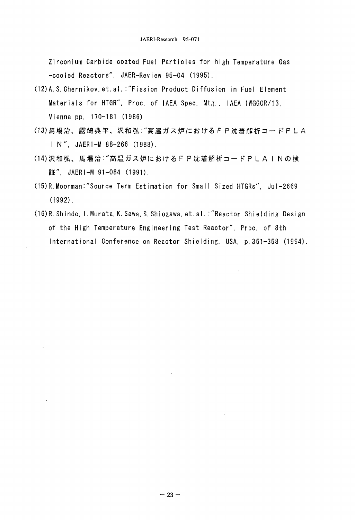Zirconium Carbide coated Fuel Particles for high Temperature Gas -cooled Reactors". JAER-Review 95-04 (1995).

- (12) A.S. Chernikov. et. al.: "Fission Product Diffusion in Fuel Element Materials for HTGR". Proc. of IAEA Spec. Mtg., IAEA IWGGCR/13, Vienna pp. 170-181 (1986)
- (13) 馬場治、露崎典平、沢和弘: "高温ガス炉におけるFP沈着解析コードPLA IN", JAERI-M 88-266 (1988).
- (14) 沢和弘、馬場治: "高温ガス炉におけるF P 沈着解析コードP L A I N の検 証". JAERI-M 91-084 (1991).
- (15) R. Moorman: "Source Term Estimation for Small Sized HTGRs", Jul-2669  $(1992)$ .
- (16) R. Shindo, I. Murata, K. Sawa, S. Shiozawa, et. al.: "Reactor Shielding Design of the High Temperature Engineering Test Reactor", Proc. of 8th International Conference on Reactor Shielding, USA, p. 351-358 (1994).